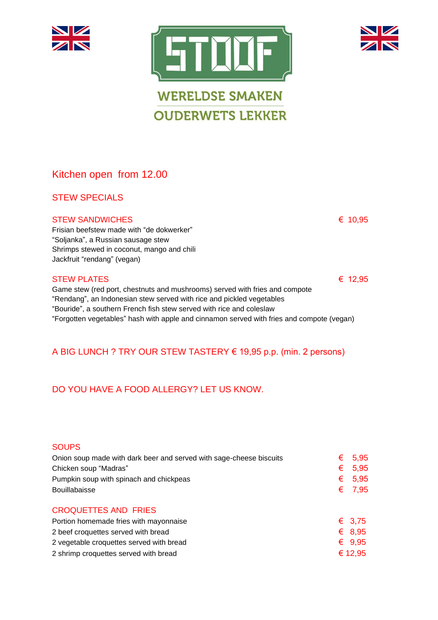



**OUDERWETS LEKKER** 

# Kitchen open from 12.00

### STEW SPECIALS

#### STEW SANDWICHES  $\epsilon$  10,95

Frisian beefstew made with "de dokwerker" "Soljanka", a Russian sausage stew Shrimps stewed in coconut, mango and chili Jackfruit "rendang" (vegan)

#### STEW PLATES  $\epsilon$  12,95

Game stew (red port, chestnuts and mushrooms) served with fries and compote "Rendang", an Indonesian stew served with rice and pickled vegetables "Bouride", a southern French fish stew served with rice and coleslaw "Forgotten vegetables" hash with apple and cinnamon served with fries and compote (vegan)

## A BIG LUNCH ? TRY OUR STEW TASTERY € 19,95 p.p. (min. 2 persons)

## DO YOU HAVE A FOOD ALLERGY? LET US KNOW.

#### **SOUPS**

| Onion soup made with dark beer and served with sage-cheese biscuits | € | 5.95            |
|---------------------------------------------------------------------|---|-----------------|
| Chicken soup "Madras"                                               | € | 5.95            |
| Pumpkin soup with spinach and chickpeas                             | € | 5.95            |
| Bouillabaisse                                                       |   | € 7,95          |
| <b>CROQUETTES AND FRIES</b>                                         |   |                 |
| Portion homemade fries with mayonnaise                              |   | € 3.75          |
| 2 beef croquettes served with bread                                 |   | $\epsilon$ 8.95 |
| 2 vegetable croquettes served with bread                            |   | $\epsilon$ 9.95 |
| 2 shrimp croquettes served with bread                               |   | € 12,95         |